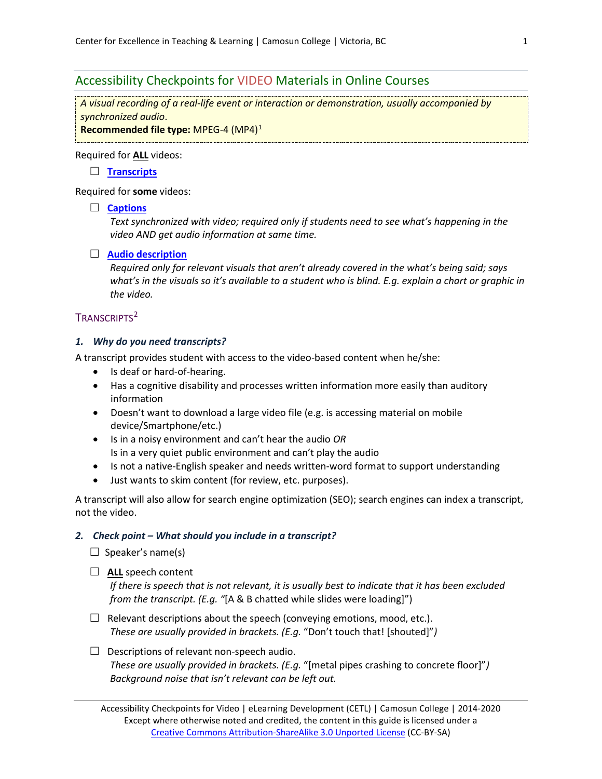# Accessibility Checkpoints for VIDEO Materials in Online Courses

*A visual recording of a real-life event or interaction or demonstration, usually accompanied by synchronized audio*.

**Recommended file type:** MPEG-4 (MP4)[1](#page-3-0)

#### Required for **ALL** videos:

☐ **[Transcripts](#page-0-0)**

Required for **some** videos:

#### ☐ **[Captions](#page-1-0)**

*Text synchronized with video; required only if students need to see what's happening in the video AND get audio information at same time.*

#### ☐ **[Audio description](#page-1-1)**

*Required only for relevant visuals that aren't already covered in the what's being said; says what's in the visuals so it's available to a student who is blind. E.g. explain a chart or graphic in the video.*

## <span id="page-0-0"></span>TRANSCRIPTS<sup>[2](#page-3-1)</sup>

#### *1. Why do you need transcripts?*

A transcript provides student with access to the video-based content when he/she:

- Is deaf or hard-of-hearing.
- Has a cognitive disability and processes written information more easily than auditory information
- Doesn't want to download a large video file (e.g. is accessing material on mobile device/Smartphone/etc.)
- Is in a noisy environment and can't hear the audio *OR* Is in a very quiet public environment and can't play the audio
- Is not a native-English speaker and needs written-word format to support understanding
- Just wants to skim content (for review, etc. purposes).

A transcript will also allow for search engine optimization (SEO); search engines can index a transcript, not the video.

#### *2. Check point – What should you include in a transcript?*

- $\Box$  Speaker's name(s)
- ☐ **ALL** speech content

*If there is speech that is not relevant, it is usually best to indicate that it has been excluded from the transcript. (E.g. "*[A & B chatted while slides were loading]")

- $\Box$  Relevant descriptions about the speech (conveying emotions, mood, etc.). *These are usually provided in brackets. (E.g.* "Don't touch that! [shouted]"*)*
- $\Box$  Descriptions of relevant non-speech audio. *These are usually provided in brackets. (E.g.* "[metal pipes crashing to concrete floor]"*) Background noise that isn't relevant can be left out.*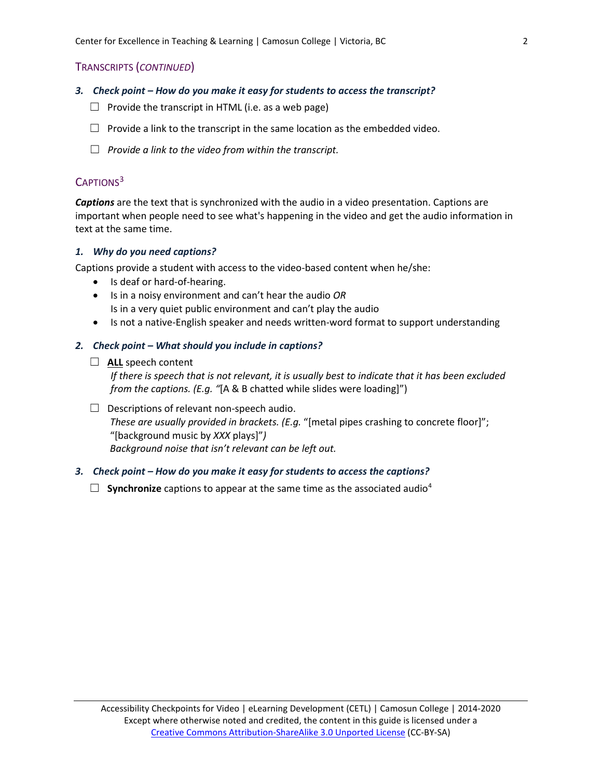#### TRANSCRIPTS (*CONTINUED*)

- *3. Check point – How do you make it easy for students to access the transcript?*
	- $\Box$  Provide the transcript in HTML (i.e. as a web page)
	- $\Box$  Provide a link to the transcript in the same location as the embedded video.
	- ☐ *Provide a link to the video from within the transcript.*

## <span id="page-1-0"></span>CAPTIONS<sup>[3](#page-3-2)</sup>

*Captions* are the text that is synchronized with the audio in a video presentation. Captions are important when people need to see what's happening in the video and get the audio information in text at the same time.

#### *1. Why do you need captions?*

Captions provide a student with access to the video-based content when he/she:

- Is deaf or hard-of-hearing.
- Is in a noisy environment and can't hear the audio *OR* Is in a very quiet public environment and can't play the audio
- Is not a native-English speaker and needs written-word format to support understanding

#### *2. Check point – What should you include in captions?*

#### □ **ALL** speech content

*If there is speech that is not relevant, it is usually best to indicate that it has been excluded from the captions. (E.g. "*[A & B chatted while slides were loading]")

 $\Box$  Descriptions of relevant non-speech audio. *These are usually provided in brackets. (E.g.* "[metal pipes crashing to concrete floor]"; "[background music by *XXX* plays]"*) Background noise that isn't relevant can be left out.*

#### *3. Check point – How do you make it easy for students to access the captions?*

<span id="page-1-1"></span> $\Box$  **Synchronize** captions to appear at the same time as the associated audio<sup>[4](#page-3-3)</sup>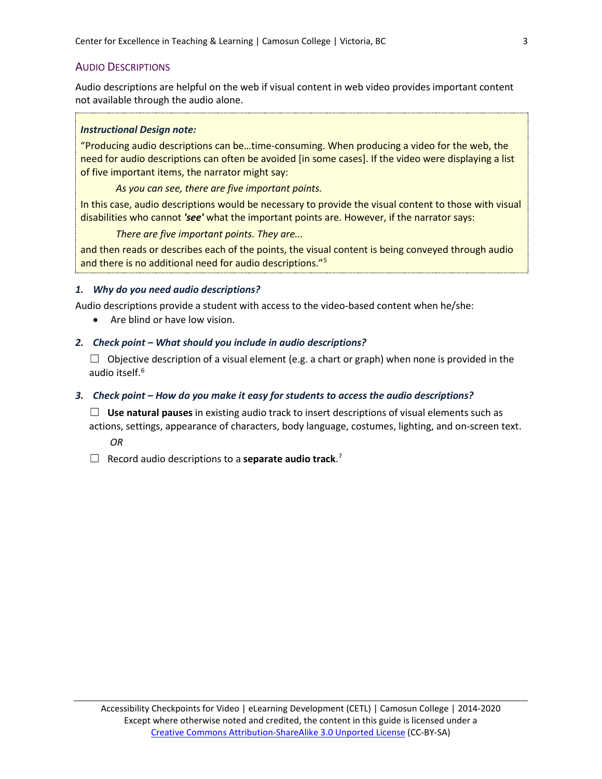### AUDIO DESCRIPTIONS

Audio descriptions are helpful on the web if visual content in web video provides important content not available through the audio alone.

#### *Instructional Design note:*

"Producing audio descriptions can be…time-consuming. When producing a video for the web, the need for audio descriptions can often be avoided [in some cases]. If the video were displaying a list of five important items, the narrator might say:

*As you can see, there are five important points.*

In this case, audio descriptions would be necessary to provide the visual content to those with visual disabilities who cannot *'see'* what the important points are. However, if the narrator says:

*There are five important points. They are...*

and then reads or describes each of the points, the visual content is being conveyed through audio and there is no additional need for audio descriptions."[5](#page-3-4)

### *1. Why do you need audio descriptions?*

Audio descriptions provide a student with access to the video-based content when he/she:

• Are blind or have low vision.

### *2. Check point – What should you include in audio descriptions?*

 $\Box$  Objective description of a visual element (e.g. a chart or graph) when none is provided in the audio itself.<sup>[6](#page-3-5)</sup>

### *3. Check point – How do you make it easy for students to access the audio descriptions?*

☐ **Use natural pauses** in existing audio track to insert descriptions of visual elements such as actions, settings, appearance of characters, body language, costumes, lighting, and on-screen text.

*OR*

□ Record audio descriptions to a **separate audio track**.<sup>[7](#page-3-6)</sup>